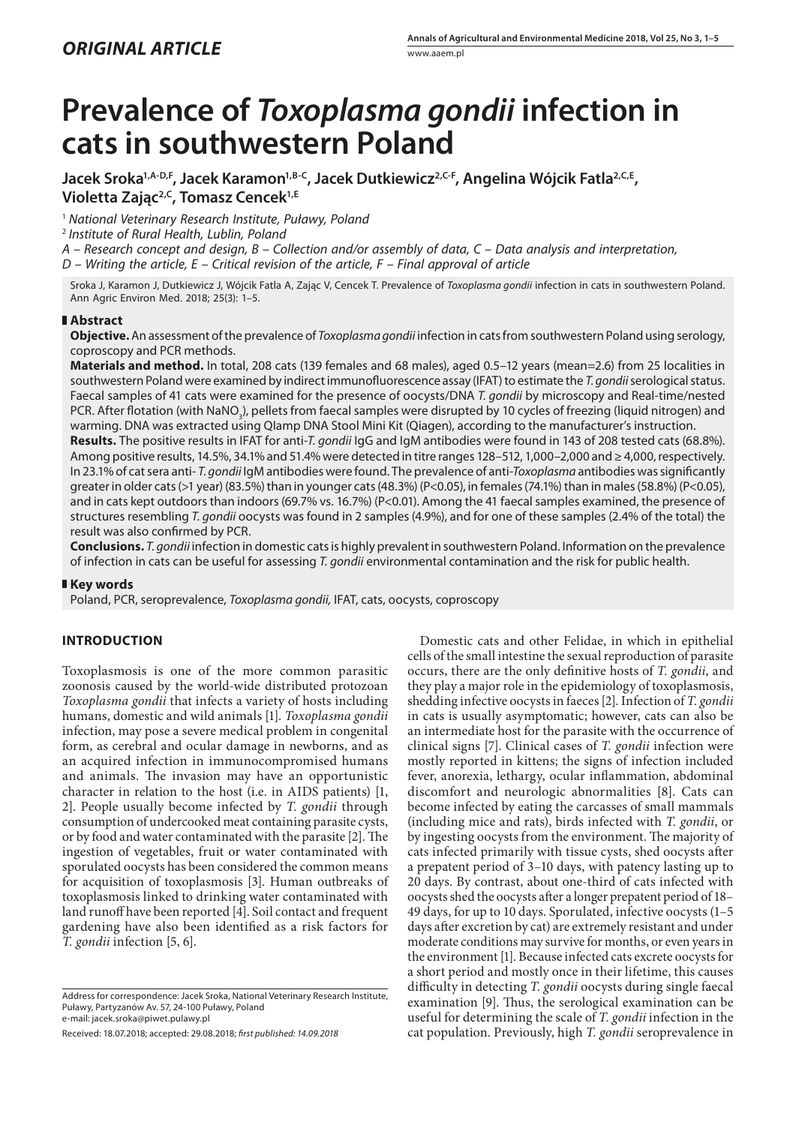# **Prevalence of** *Toxoplasma gondii* **infection in cats in southwestern Poland**

Jacek Sroka<sup>1,A-D,F</sup>, Jacek Karamon<sup>1,B-C</sup>, Jacek Dutkiewicz<sup>2,C-F</sup>, Angelina Wójcik Fatla<sup>2,C,E</sup>, **Violetta Zając2,C, Tomasz Cencek1,E**

<sup>1</sup> *National Veterinary Research Institute, Puławy, Poland*

<sup>2</sup> *Institute of Rural Health, Lublin, Poland*

*A – Research concept and design, B – Collection and/or assembly of data, C – Data analysis and interpretation,* 

*D – Writing the article, E – Critical revision of the article, F – Final approval of article*

Sroka J, Karamon J, Dutkiewicz J, Wójcik Fatla A, Zając V, Cencek T. Prevalence of *Toxoplasma gondii* infection in cats in southwestern Poland. Ann Agric Environ Med. 2018; 25(3): 1–5.

## **Abstract**

**Objective.** An assessment of the prevalence of *Toxoplasma gondii* infection in cats from southwestern Poland using serology, coproscopy and PCR methods.

**Materials and method.** In total, 208 cats (139 females and 68 males), aged 0.5–12 years (mean=2.6) from 25 localities in southwestern Poland were examined by indirect immunofluorescence assay (IFAT) to estimate the *T. gondii* serological status. Faecal samples of 41 cats were examined for the presence of oocysts/DNA *T. gondii* by microscopy and Real-time/nested PCR. After flotation (with NaNO<sub>3</sub>), pellets from faecal samples were disrupted by 10 cycles of freezing (liquid nitrogen) and warming. DNA was extracted using QIamp DNA Stool Mini Kit (Qiagen), according to the manufacturer's instruction.

**Results.** The positive results in IFAT for anti-*T. gondii* IgG and IgM antibodies were found in 143 of 208 tested cats (68.8%). Among positive results, 14.5%, 34.1% and 51.4% were detected in titre ranges 128–512, 1,000–2,000 and ≥ 4,000, respectively. In 23.1% of cat sera anti- *T. gondii* IgM antibodies were found. The prevalence of anti-*Toxoplasma* antibodies was significantly greater in older cats (>1 year) (83.5%) than in younger cats (48.3%) (P<0.05), in females (74.1%) than in males (58.8%) (P<0.05), and in cats kept outdoors than indoors (69.7% vs. 16.7%) (P<0.01). Among the 41 faecal samples examined, the presence of structures resembling *T. gondii* oocysts was found in 2 samples (4.9%), and for one of these samples (2.4% of the total) the result was also confirmed by PCR.

**Conclusions.** *T. gondii* infection in domestic cats is highly prevalent in southwestern Poland. Information on the prevalence of infection in cats can be useful for assessing *T. gondii* environmental contamination and the risk for public health.

## **Key words**

Poland, PCR, seroprevalence, *Toxoplasma gondii,* IFAT, cats, oocysts, coproscopy

## **INTRODUCTION**

Toxoplasmosis is one of the more common parasitic zoonosis caused by the world-wide distributed protozoan *Toxoplasma gondii* that infects a variety of hosts including humans, domestic and wild animals [1]. *Toxoplasma gondii* infection, may pose a severe medical problem in congenital form, as cerebral and ocular damage in newborns, and as an acquired infection in immunocompromised humans and animals. The invasion may have an opportunistic character in relation to the host (i.e. in AIDS patients) [1, 2]. People usually become infected by *T. gondii* through consumption of undercooked meat containing parasite cysts, or by food and water contaminated with the parasite [2]. The ingestion of vegetables, fruit or water contaminated with sporulated oocysts has been considered the common means for acquisition of toxoplasmosis [3]. Human outbreaks of toxoplasmosis linked to drinking water contaminated with land runoff have been reported [4]. Soil contact and frequent gardening have also been identified as a risk factors for *T. gondii* infection [5, 6].

Domestic cats and other Felidae, in which in epithelial cells of the small intestine the sexual reproduction of parasite occurs, there are the only definitive hosts of *T. gondii*, and they play a major role in the epidemiology of toxoplasmosis, shedding infective oocysts in faeces [2]. Infection of *T. gondii* in cats is usually asymptomatic; however, cats can also be an intermediate host for the parasite with the occurrence of clinical signs [7]. Clinical cases of *T. gondii* infection were mostly reported in kittens; the signs of infection included fever, anorexia, lethargy, ocular inflammation, abdominal discomfort and neurologic abnormalities [8]. Cats can become infected by eating the carcasses of small mammals (including mice and rats), birds infected with *T. gondii*, or by ingesting oocysts from the environment. The majority of cats infected primarily with tissue cysts, shed oocysts after a prepatent period of 3–10 days, with patency lasting up to 20 days. By contrast, about one-third of cats infected with oocysts shed the oocysts after a longer prepatent period of 18– 49 days, for up to 10 days. Sporulated, infective oocysts (1–5 days after excretion by cat) are extremely resistant and under moderate conditions may survive for months, or even years in the environment [1]. Because infected cats excrete oocysts for a short period and mostly once in their lifetime, this causes difficulty in detecting *T. gondii* oocysts during single faecal examination [9]. Thus, the serological examination can be useful for determining the scale of *T. gondii* infection in the cat population. Previously, high *T. gondii* seroprevalence in

Address for correspondence: Jacek Sroka, National Veterinary Research Institute, Puławy, Partyzanów Av. 57, 24-100 Puławy, Poland e-mail: jacek.sroka@piwet.pulawy.pl

Received: 18.07.2018; accepted: 29.08.2018; *first published: 14.09.2018*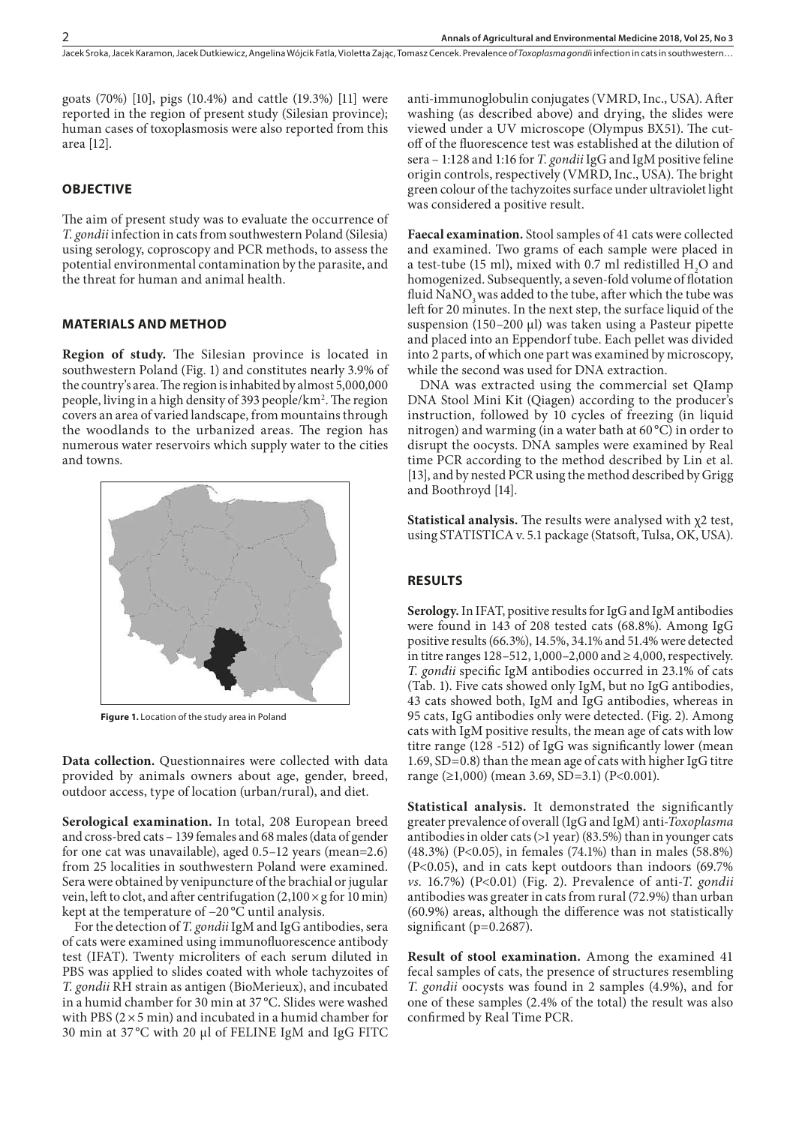goats (70%) [10], pigs (10.4%) and cattle (19.3%) [11] were reported in the region of present study (Silesian province); human cases of toxoplasmosis were also reported from this area [12].

## **OBJECTIVE**

The aim of present study was to evaluate the occurrence of *T. gondii* infection in cats from southwestern Poland (Silesia) using serology, coproscopy and PCR methods, to assess the potential environmental contamination by the parasite, and the threat for human and animal health.

## **MATERIALS AND METHOD**

**Region of study.** The Silesian province is located in southwestern Poland (Fig. 1) and constitutes nearly 3.9% of the country's area. The region is inhabited by almost 5,000,000 people, living in a high density of 393 people/km². The region covers an area of varied landscape, from mountains through the woodlands to the urbanized areas. The region has numerous water reservoirs which supply water to the cities and towns.



**Figure 1.** Location of the study area in Poland

**Data collection.** Questionnaires were collected with data provided by animals owners about age, gender, breed, outdoor access, type of location (urban/rural), and diet.

**Serological examination.** In total, 208 European breed and cross-bred cats – 139 females and 68 males (data of gender for one cat was unavailable), aged 0.5–12 years (mean=2.6) from 25 localities in southwestern Poland were examined. Sera were obtained by venipuncture of the brachial or jugular vein, left to clot, and after centrifugation  $(2,100 \times g$  for 10 min) kept at the temperature of −20 °C until analysis.

For the detection of *T. gondii* IgM and IgG antibodies, sera of cats were examined using immunofluorescence antibody test (IFAT). Twenty microliters of each serum diluted in PBS was applied to slides coated with whole tachyzoites of *T. gondii* RH strain as antigen (BioMerieux), and incubated in a humid chamber for 30 min at 37 °C. Slides were washed with PBS ( $2 \times 5$  min) and incubated in a humid chamber for 30 min at 37 °C with 20 µl of FELINE IgM and IgG FITC

anti-immunoglobulin conjugates (VMRD, Inc., USA). After washing (as described above) and drying, the slides were viewed under a UV microscope (Olympus BX51). The cutoff of the fluorescence test was established at the dilution of sera – 1:128 and 1:16 for *T. gondii* IgG and IgM positive feline origin controls, respectively (VMRD, Inc., USA). The bright green colour of the tachyzoites surface under ultraviolet light was considered a positive result.

**Faecal examination.** Stool samples of 41 cats were collected and examined. Two grams of each sample were placed in a test-tube (15 ml), mixed with 0.7 ml redistilled  $H_2O$  and homogenized. Subsequently, a seven-fold volume of flotation fluid NaNO<sub>2</sub> was added to the tube, after which the tube was left for 20 minutes. In the next step, the surface liquid of the suspension (150–200 µl) was taken using a Pasteur pipette and placed into an Eppendorf tube. Each pellet was divided into 2 parts, of which one part was examined by microscopy, while the second was used for DNA extraction.

DNA was extracted using the commercial set QIamp DNA Stool Mini Kit (Qiagen) according to the producer's instruction, followed by 10 cycles of freezing (in liquid nitrogen) and warming (in a water bath at 60 °C) in order to disrupt the oocysts. DNA samples were examined by Real time PCR according to the method described by Lin et al. [13], and by nested PCR using the method described by Grigg and Boothroyd [14].

**Statistical analysis.** The results were analysed with χ2 test, using STATISTICA v. 5.1 package (Statsoft, Tulsa, OK, USA).

### **RESULTS**

**Serology.** In IFAT, positive results for IgG and IgM antibodies were found in 143 of 208 tested cats (68.8%). Among IgG positive results (66.3%), 14.5%, 34.1% and 51.4% were detected in titre ranges 128–512, 1,000–2,000 and  $\geq 4,000$ , respectively. *T. gondii* specific IgM antibodies occurred in 23.1% of cats (Tab. 1). Five cats showed only IgM, but no IgG antibodies, 43 cats showed both, IgM and IgG antibodies, whereas in 95 cats, IgG antibodies only were detected. (Fig. 2). Among cats with IgM positive results, the mean age of cats with low titre range (128 -512) of IgG was significantly lower (mean 1.69, SD=0.8) than the mean age of cats with higher IgG titre range (≥1,000) (mean 3.69, SD=3.1) (P<0.001).

**Statistical analysis.** It demonstrated the significantly greater prevalence of overall (IgG and IgM) anti-*Toxoplasma* antibodies in older cats (>1 year) (83.5%) than in younger cats (48.3%) (P<0.05), in females (74.1%) than in males (58.8%) (P<0.05), and in cats kept outdoors than indoors (69.7% *vs.* 16.7%) (P<0.01) (Fig. 2). Prevalence of anti-*T. gondii* antibodies was greater in cats from rural (72.9%) than urban (60.9%) areas, although the difference was not statistically significant (p=0.2687).

**Result of stool examination.** Among the examined 41 fecal samples of cats, the presence of structures resembling *T. gondii* oocysts was found in 2 samples (4.9%), and for one of these samples (2.4% of the total) the result was also confirmed by Real Time PCR.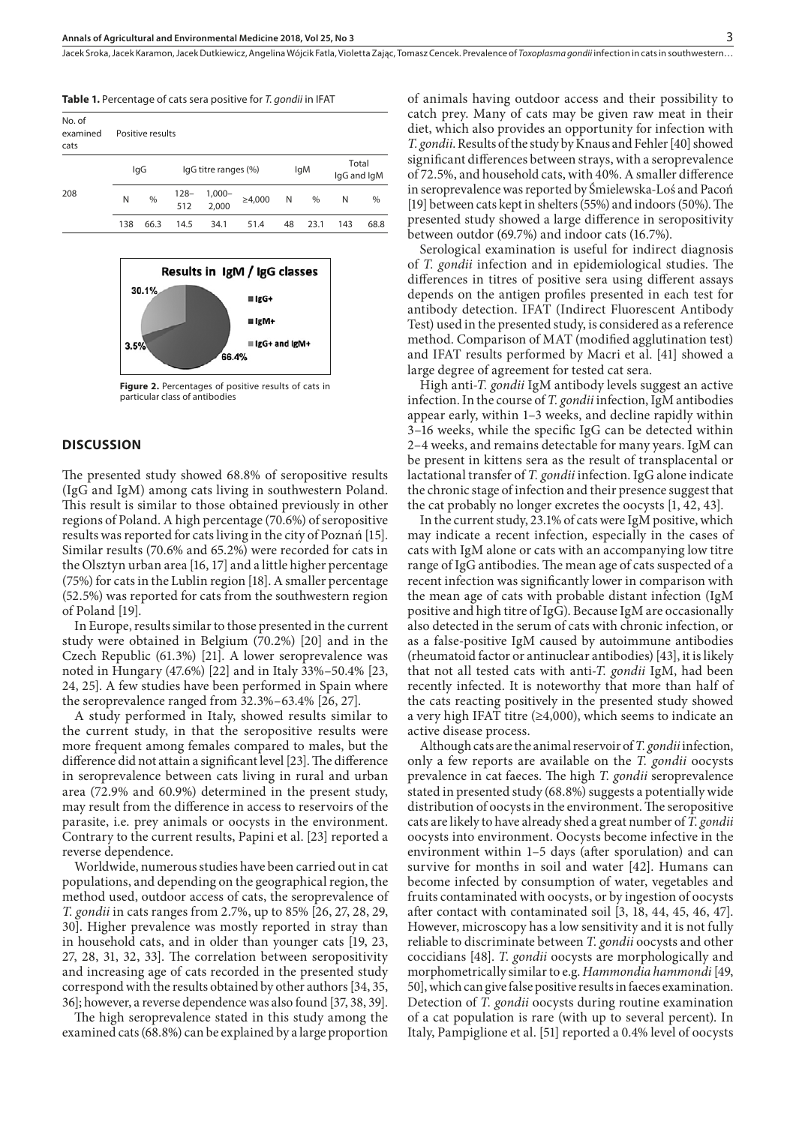| Table 1. Percentage of cats sera positive for T. gondii in IFAT |  |  |
|-----------------------------------------------------------------|--|--|
|-----------------------------------------------------------------|--|--|

| No. of<br>examined<br>cats |     | Positive results |                |                      |              |    |      |     |                      |  |
|----------------------------|-----|------------------|----------------|----------------------|--------------|----|------|-----|----------------------|--|
| 208                        | lgG |                  |                | lgG titre ranges (%) |              |    | lgM  |     | Total<br>IgG and IgM |  |
|                            | N   | %                | $128 -$<br>512 | $1,000 -$<br>2.000   | $\geq 4,000$ | N  | %    | N   | $\%$                 |  |
|                            | 138 | 66.3             | 14.5           | 34.1                 | 51.4         | 48 | 23.1 | 143 | 68.8                 |  |



**Figure 2.** Percentages of positive results of cats in particular class of antibodies

## **DISCUSSION**

The presented study showed 68.8% of seropositive results (IgG and IgM) among cats living in southwestern Poland. This result is similar to those obtained previously in other regions of Poland. A high percentage (70.6%) of seropositive results was reported for cats living in the city of Poznań [15]. Similar results (70.6% and 65.2%) were recorded for cats in the Olsztyn urban area [16, 17] and a little higher percentage (75%) for cats in the Lublin region [18]. A smaller percentage (52.5%) was reported for cats from the southwestern region of Poland [19].

In Europe, results similar to those presented in the current study were obtained in Belgium (70.2%) [20] and in the Czech Republic (61.3%) [21]. A lower seroprevalence was noted in Hungary (47.6%) [22] and in Italy 33%–50.4% [23, 24, 25]. A few studies have been performed in Spain where the seroprevalence ranged from 32.3%–63.4% [26, 27].

A study performed in Italy, showed results similar to the current study, in that the seropositive results were more frequent among females compared to males, but the difference did not attain a significant level [23]. The difference in seroprevalence between cats living in rural and urban area (72.9% and 60.9%) determined in the present study, may result from the difference in access to reservoirs of the parasite, i.e. prey animals or oocysts in the environment. Contrary to the current results, Papini et al. [23] reported a reverse dependence.

Worldwide, numerous studies have been carried out in cat populations, and depending on the geographical region, the method used, outdoor access of cats, the seroprevalence of *T. gondii* in cats ranges from 2.7%, up to 85% [26, 27, 28, 29, 30]. Higher prevalence was mostly reported in stray than in household cats, and in older than younger cats [19, 23, 27, 28, 31, 32, 33]. The correlation between seropositivity and increasing age of cats recorded in the presented study correspond with the results obtained by other authors [34, 35, 36]; however, a reverse dependence was also found [37, 38, 39].

The high seroprevalence stated in this study among the examined cats (68.8%) can be explained by a large proportion

of animals having outdoor access and their possibility to catch prey. Many of cats may be given raw meat in their diet, which also provides an opportunity for infection with *T. gondii*. Results of the study by Knaus and Fehler [40] showed significant differences between strays, with a seroprevalence of 72.5%, and household cats, with 40%. A smaller difference in seroprevalence was reported by Śmielewska-Loś and Pacoń [19] between cats kept in shelters (55%) and indoors (50%). The presented study showed a large difference in seropositivity between outdor (69.7%) and indoor cats (16.7%).

Serological examination is useful for indirect diagnosis of *T. gondii* infection and in epidemiological studies. The differences in titres of positive sera using different assays depends on the antigen profiles presented in each test for antibody detection. IFAT (Indirect Fluorescent Antibody Test) used in the presented study, is considered as a reference method. Comparison of MAT (modified agglutination test) and IFAT results performed by Macri et al. [41] showed a large degree of agreement for tested cat sera.

High anti*-T. gondii* IgM antibody levels suggest an active infection. In the course of *T. gondii* infection, IgM antibodies appear early, within 1–3 weeks, and decline rapidly within 3–16 weeks, while the specific IgG can be detected within 2–4 weeks, and remains detectable for many years. IgM can be present in kittens sera as the result of transplacental or lactational transfer of *T. gondii* infection. IgG alone indicate the chronic stage of infection and their presence suggest that the cat probably no longer excretes the oocysts [1, 42, 43].

In the current study, 23.1% of cats were IgM positive, which may indicate a recent infection, especially in the cases of cats with IgM alone or cats with an accompanying low titre range of IgG antibodies. The mean age of cats suspected of a recent infection was significantly lower in comparison with the mean age of cats with probable distant infection (IgM positive and high titre of IgG). Because IgM are occasionally also detected in the serum of cats with chronic infection, or as a false-positive IgM caused by autoimmune antibodies (rheumatoid factor or antinuclear antibodies) [43], it is likely that not all tested cats with anti-*T. gondii* IgM, had been recently infected. It is noteworthy that more than half of the cats reacting positively in the presented study showed a very high IFAT titre (≥4,000), which seems to indicate an active disease process.

Although cats are the animal reservoir of *T. gondii* infection, only a few reports are available on the *T. gondii* oocysts prevalence in cat faeces. The high *T. gondii* seroprevalence stated in presented study (68.8%) suggests a potentially wide distribution of oocysts in the environment. The seropositive cats are likely to have already shed a great number of *T. gondii* oocysts into environment. Oocysts become infective in the environment within 1–5 days (after sporulation) and can survive for months in soil and water [42]. Humans can become infected by consumption of water, vegetables and fruits contaminated with oocysts, or by ingestion of oocysts after contact with contaminated soil [3, 18, 44, 45, 46, 47]. However, microscopy has a low sensitivity and it is not fully reliable to discriminate between *T. gondii* oocysts and other coccidians [48]. *T. gondii* oocysts are morphologically and morphometrically similar to e.g. *Hammondia hammondi* [49, 50], which can give false positive results in faeces examination. Detection of *T. gondii* oocysts during routine examination of a cat population is rare (with up to several percent). In Italy, Pampiglione et al. [51] reported a 0.4% level of oocysts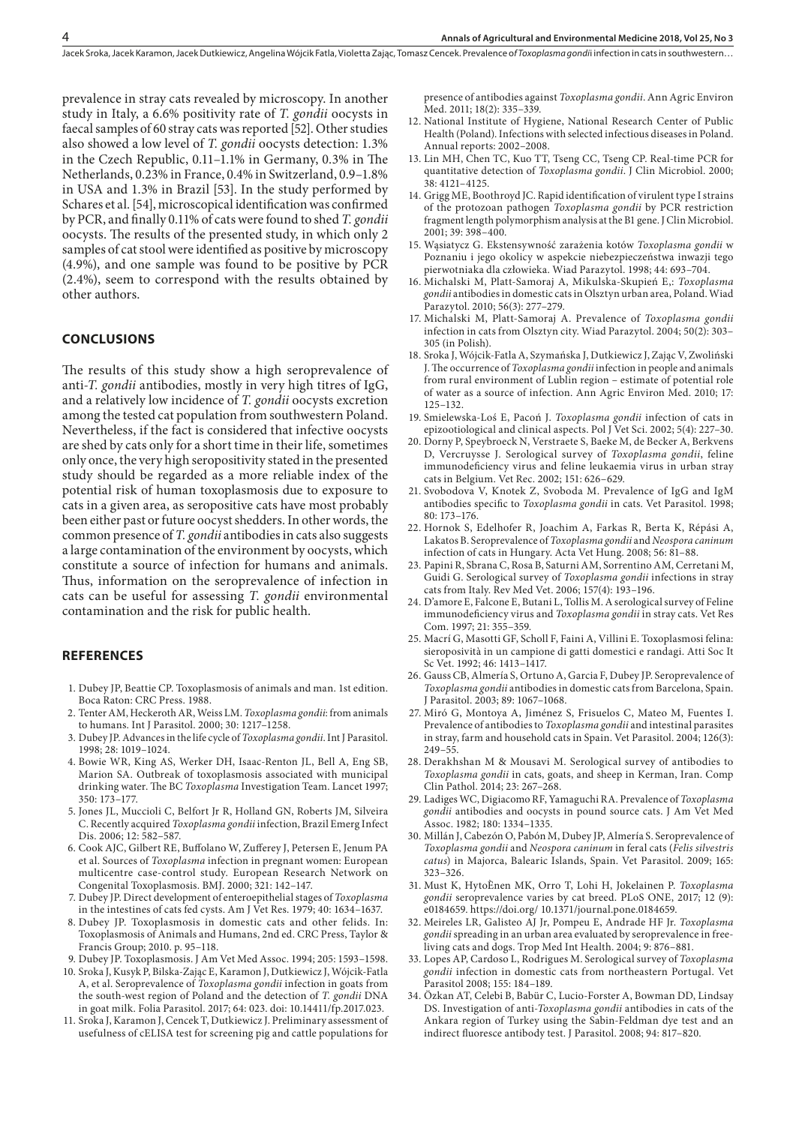prevalence in stray cats revealed by microscopy. In another study in Italy, a 6.6% positivity rate of *T. gondii* oocysts in faecal samples of 60 stray cats was reported [52]. Other studies also showed a low level of *T. gondii* oocysts detection: 1.3% in the Czech Republic, 0.11–1.1% in Germany, 0.3% in The Netherlands, 0.23% in France, 0.4% in Switzerland, 0.9–1.8% in USA and 1.3% in Brazil [53]. In the study performed by Schares et al. [54], microscopical identification was confirmed by PCR, and finally 0.11% of cats were found to shed *T. gondii* oocysts. The results of the presented study, in which only 2 samples of cat stool were identified as positive by microscopy (4.9%), and one sample was found to be positive by PCR (2.4%), seem to correspond with the results obtained by other authors.

#### **CONCLUSIONS**

The results of this study show a high seroprevalence of anti-*T. gondii* antibodies, mostly in very high titres of IgG, and a relatively low incidence of *T. gondii* oocysts excretion among the tested cat population from southwestern Poland. Nevertheless, if the fact is considered that infective oocysts are shed by cats only for a short time in their life, sometimes only once, the very high seropositivity stated in the presented study should be regarded as a more reliable index of the potential risk of human toxoplasmosis due to exposure to cats in a given area, as seropositive cats have most probably been either past or future oocyst shedders. In other words, the common presence of *T. gondii* antibodies in cats also suggests a large contamination of the environment by oocysts, which constitute a source of infection for humans and animals. Thus, information on the seroprevalence of infection in cats can be useful for assessing *T. gondii* environmental contamination and the risk for public health.

### **REFERENCES**

- 1. Dubey JP, Beattie CP. Toxoplasmosis of animals and man. 1st edition. Boca Raton: CRC Press. 1988.
- 2. Tenter AM, Heckeroth AR, Weiss LM. *Toxoplasma gondii*: from animals to humans. Int J Parasitol. 2000; 30: 1217–1258.
- 3. Dubey JP. Advances in the life cycle of *Toxoplasma gondii*. Int J Parasitol. 1998; 28: 1019–1024.
- 4. Bowie WR, King AS, Werker DH, Isaac-Renton JL, Bell A, Eng SB, Marion SA. Outbreak of toxoplasmosis associated with municipal drinking water. The BC *Toxoplasma* Investigation Team. Lancet 1997; 350: 173–177.
- 5. Jones JL, Muccioli C, Belfort Jr R, Holland GN, Roberts JM, Silveira C. Recently acquired *Toxoplasma gondii* infection, Brazil Emerg Infect Dis. 2006; 12: 582–587.
- 6. Cook AJC, Gilbert RE, Buffolano W, Zufferey J, Petersen E, Jenum PA et al. Sources of *Toxoplasma* infection in pregnant women: European multicentre case-control study. European Research Network on Congenital Toxoplasmosis. BMJ. 2000; 321: 142–147.
- 7. Dubey JP. Direct development of enteroepithelial stages of *Toxoplasma* in the intestines of cats fed cysts. Am J Vet Res. 1979; 40: 1634–1637.
- 8. Dubey JP. Toxoplasmosis in domestic cats and other felids. In: Toxoplasmosis of Animals and Humans, 2nd ed. CRC Press, Taylor & Francis Group; 2010. p. 95–118.
- 9. Dubey JP. Toxoplasmosis. J Am Vet Med Assoc. 1994; 205: 1593–1598.
- 10. Sroka J, Kusyk P, Bilska-Zając E, Karamon J, Dutkiewicz J, Wójcik-Fatla A, et al. Seroprevalence of *Toxoplasma gondii* infection in goats from the south-west region of Poland and the detection of *T. gondii* DNA in goat milk. Folia Parasitol. 2017; 64: 023. doi: 10.14411/fp.2017.023.
- 11. Sroka J, Karamon J, Cencek T, Dutkiewicz J. Preliminary assessment of usefulness of cELISA test for screening pig and cattle populations for

presence of antibodies against *Toxoplasma gondii*. Ann Agric Environ Med. 2011; 18(2): 335-339.

- 12. National Institute of Hygiene, National Research Center of Public Health (Poland). Infections with selected infectious diseases in Poland. Annual reports: 2002–2008.
- 13. Lin MH, Chen TC, Kuo TT, Tseng CC, Tseng CP. Real-time PCR for quantitative detection of *Toxoplasma gondii*. J Clin Microbiol. 2000; 38: 4121–4125.
- 14. Grigg ME, Boothroyd JC. Rapid identification of virulent type I strains of the protozoan pathogen *Toxoplasma gondii* by PCR restriction fragment length polymorphism analysis at the B1 gene. J Clin Microbiol. 2001; 39: 398–400.
- 15. Wąsiatycz G. Ekstensywność zarażenia kotów *Toxoplasma gondii* w Poznaniu i jego okolicy w aspekcie niebezpieczeństwa inwazji tego pierwotniaka dla człowieka. Wiad Parazytol. 1998; 44: 693–704.
- 16. Michalski M, Platt-Samoraj A, Mikulska-Skupień E,: *Toxoplasma gondii* antibodies in domestic cats in Olsztyn urban area, Poland. Wiad Parazytol. 2010; 56(3): 277–279.
- 17. Michalski M, Platt-Samoraj A. Prevalence of *Toxoplasma gondii* infection in cats from Olsztyn city. Wiad Parazytol. 2004; 50(2): 303– 305 (in Polish).
- 18. Sroka J, Wójcik-Fatla A, Szymańska J, Dutkiewicz J, Zając V, Zwoliński J. The occurrence of *Toxoplasma gondii* infection in people and animals from rural environment of Lublin region – estimate of potential role of water as a source of infection. Ann Agric Environ Med. 2010; 17: 125–132.
- 19. Smielewska-Loś E, Pacoń J. *Toxoplasma gondii* infection of cats in epizootiological and clinical aspects. Pol J Vet Sci. 2002; 5(4): 227–30.
- 20. Dorny P, Speybroeck N, Verstraete S, Baeke M, de Becker A, Berkvens D, Vercruysse J. Serological survey of *Toxoplasma gondii*, feline immunodeficiency virus and feline leukaemia virus in urban stray cats in Belgium. Vet Rec. 2002; 151: 626–629.
- 21. Svobodova V, Knotek Z, Svoboda M. Prevalence of IgG and IgM antibodies specific to *Toxoplasma gondii* in cats. Vet Parasitol. 1998; 80: 173–176.
- 22. Hornok S, Edelhofer R, Joachim A, Farkas R, Berta K, Répási A, Lakatos B. Seroprevalence of *Toxoplasma gondii* and *Neospora caninum* infection of cats in Hungary. Acta Vet Hung. 2008; 56: 81–88.
- 23. Papini R, Sbrana C, Rosa B, Saturni AM, Sorrentino AM, Cerretani M, Guidi G. Serological survey of *Toxoplasma gondii* infections in stray cats from Italy. Rev Med Vet. 2006; 157(4): 193–196.
- 24. D'amore E, Falcone E, Butani L, Tollis M. A serological survey of Feline immunodeficiency virus and *Toxoplasma gondii* in stray cats. Vet Res Com. 1997; 21: 355–359.
- 25. Macrí G, Masotti GF, Scholl F, Faini A, Villini E. Toxoplasmosi felina: sieroposività in un campione di gatti domestici e randagi. Atti Soc It Sc Vet. 1992; 46: 1413–1417.
- 26. Gauss CB, Almería S, Ortuno A, Garcia F, Dubey JP. Seroprevalence of *Toxoplasma gondii* antibodies in domestic cats from Barcelona, Spain. J Parasitol. 2003; 89: 1067–1068.
- 27. Miró G, Montoya A, Jiménez S, Frisuelos C, Mateo M, Fuentes I. Prevalence of antibodies to *Toxoplasma gondii* and intestinal parasites in stray, farm and household cats in Spain. Vet Parasitol. 2004; 126(3): 249–55.
- 28. Derakhshan M & Mousavi M. Serological survey of antibodies to *Toxoplasma gondii* in cats, goats, and sheep in Kerman, Iran. Comp Clin Pathol. 2014; 23: 267–268.
- 29. Ladiges WC, Digiacomo RF, Yamaguchi RA. Prevalence of *Toxoplasma gondii* antibodies and oocysts in pound source cats. J Am Vet Med Assoc. 1982; 180: 1334–1335.
- 30. Millán J, Cabezón O, Pabón M, Dubey JP, Almería S. Seroprevalence of *Toxoplasma gondii* and *Neospora caninum* in feral cats (*Felis silvestris catus*) in Majorca, Balearic Islands, Spain. Vet Parasitol. 2009; 165: 323–326.
- 31. Must K, HytoÈnen MK, Orro T, Lohi H, Jokelainen P. *Toxoplasma gondii* seroprevalence varies by cat breed. PLoS ONE, 2017; 12 (9): e0184659. https://doi.org/ 10.1371/journal.pone.0184659.
- 32. Meireles LR, Galisteo AJ Jr, Pompeu E, Andrade HF Jr. *Toxoplasma gondii* spreading in an urban area evaluated by seroprevalence in freeliving cats and dogs. Trop Med Int Health. 2004; 9: 876–881.
- 33. Lopes AP, Cardoso L, Rodrigues M. Serological survey of *Toxoplasma gondii* infection in domestic cats from northeastern Portugal. Vet Parasitol 2008; 155: 184–189.
- 34. Özkan AT, Celebi B, Babür C, Lucio-Forster A, Bowman DD, Lindsay DS. Investigation of anti-*Toxoplasma gondii* antibodies in cats of the Ankara region of Turkey using the Sabin-Feldman dye test and an indirect fluoresce antibody test. J Parasitol. 2008; 94: 817–820.